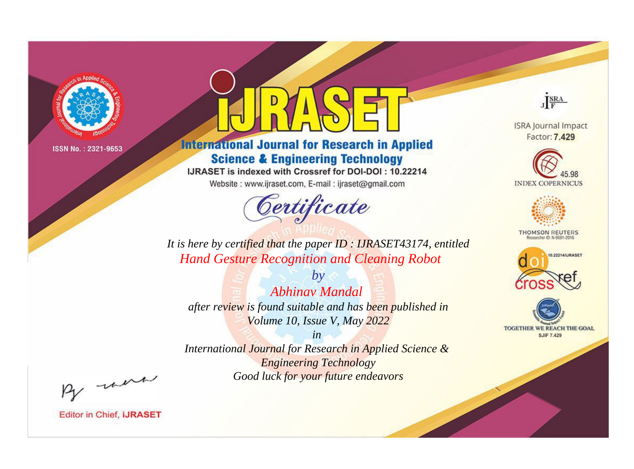

# **International Journal for Research in Applied Science & Engineering Technology**

IJRASET is indexed with Crossref for DOI-DOI: 10.22214

Website: www.ijraset.com, E-mail: ijraset@gmail.com



JERA

**ISRA Journal Impact** Factor: 7.429





**THOMSON REUTERS** 



TOGETHER WE REACH THE GOAL **SJIF 7.429** 

*It is here by certified that the paper ID : IJRASET43174, entitled Hand Gesture Recognition and Cleaning Robot*

*Abhinav Mandal after review is found suitable and has been published in Volume 10, Issue V, May 2022*

*by*

*in* 

*International Journal for Research in Applied Science & Engineering Technology Good luck for your future endeavors*

By morn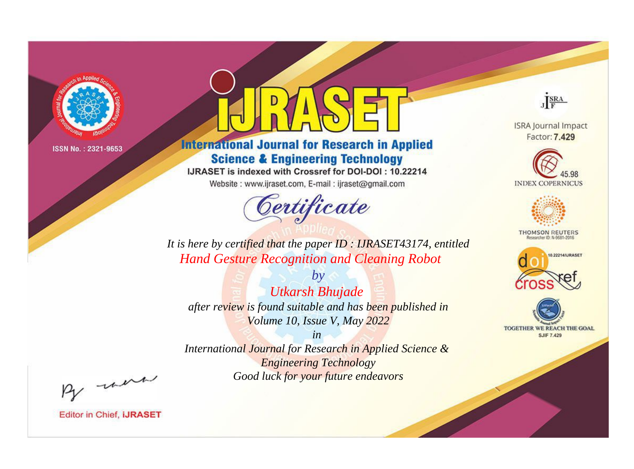

# **International Journal for Research in Applied Science & Engineering Technology**

IJRASET is indexed with Crossref for DOI-DOI: 10.22214

Website: www.ijraset.com, E-mail: ijraset@gmail.com



JERA

**ISRA Journal Impact** Factor: 7.429





**THOMSON REUTERS** 



TOGETHER WE REACH THE GOAL **SJIF 7.429** 

*It is here by certified that the paper ID : IJRASET43174, entitled Hand Gesture Recognition and Cleaning Robot*

*by Utkarsh Bhujade after review is found suitable and has been published in Volume 10, Issue V, May 2022*

*in* 

*International Journal for Research in Applied Science & Engineering Technology Good luck for your future endeavors*

By morn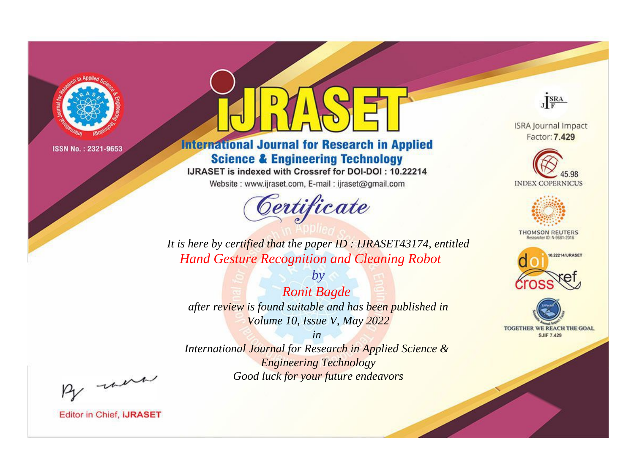

# **International Journal for Research in Applied Science & Engineering Technology**

IJRASET is indexed with Crossref for DOI-DOI: 10.22214

Website: www.ijraset.com, E-mail: ijraset@gmail.com



JERA

**ISRA Journal Impact** Factor: 7.429





**THOMSON REUTERS** 



TOGETHER WE REACH THE GOAL **SJIF 7.429** 

*It is here by certified that the paper ID : IJRASET43174, entitled Hand Gesture Recognition and Cleaning Robot*

*by Ronit Bagde after review is found suitable and has been published in Volume 10, Issue V, May 2022*

*in* 

*International Journal for Research in Applied Science & Engineering Technology Good luck for your future endeavors*

By morn